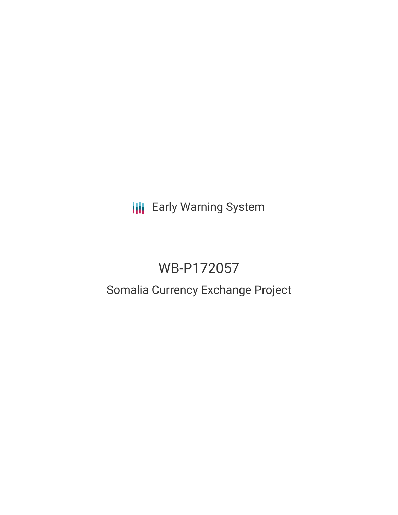**III** Early Warning System

# WB-P172057

# Somalia Currency Exchange Project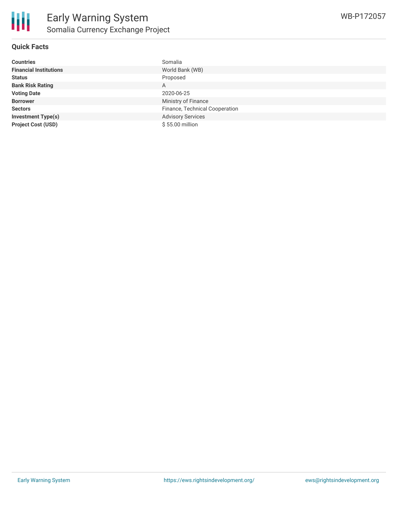

| <b>Countries</b>              | Somalia                        |
|-------------------------------|--------------------------------|
| <b>Financial Institutions</b> | World Bank (WB)                |
| <b>Status</b>                 | Proposed                       |
| <b>Bank Risk Rating</b>       | A                              |
| <b>Voting Date</b>            | 2020-06-25                     |
| <b>Borrower</b>               | Ministry of Finance            |
| <b>Sectors</b>                | Finance, Technical Cooperation |
| <b>Investment Type(s)</b>     | <b>Advisory Services</b>       |
| <b>Project Cost (USD)</b>     | \$55.00 million                |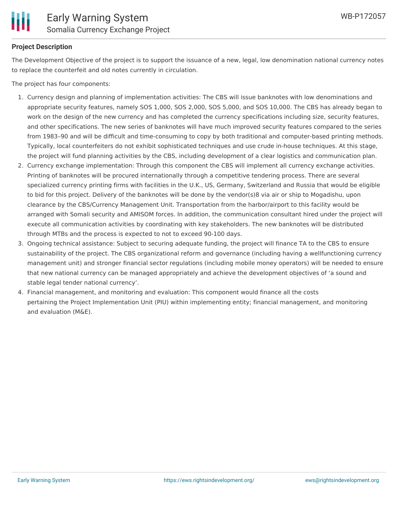

# **Project Description**

The Development Objective of the project is to support the issuance of a new, legal, low denomination national currency notes to replace the counterfeit and old notes currently in circulation.

The project has four components:

- 1. Currency design and planning of implementation activities: The CBS will issue banknotes with low denominations and appropriate security features, namely SOS 1,000, SOS 2,000, SOS 5,000, and SOS 10,000. The CBS has already began to work on the design of the new currency and has completed the currency specifications including size, security features, and other specifications. The new series of banknotes will have much improved security features compared to the series from 1983–90 and will be difficult and time-consuming to copy by both traditional and computer-based printing methods. Typically, local counterfeiters do not exhibit sophisticated techniques and use crude in-house techniques. At this stage, the project will fund planning activities by the CBS, including development of a clear logistics and communication plan.
- 2. Currency exchange implementation: Through this component the CBS will implement all currency exchange activities. Printing of banknotes will be procured internationally through a competitive tendering process. There are several specialized currency printing firms with facilities in the U.K., US, Germany, Switzerland and Russia that would be eligible to bid for this project. Delivery of the banknotes will be done by the vendor(s)8 via air or ship to Mogadishu, upon clearance by the CBS/Currency Management Unit. Transportation from the harbor/airport to this facility would be arranged with Somali security and AMISOM forces. In addition, the communication consultant hired under the project will execute all communication activities by coordinating with key stakeholders. The new banknotes will be distributed through MTBs and the process is expected to not to exceed 90-100 days.
- 3. Ongoing technical assistance: Subject to securing adequate funding, the project will finance TA to the CBS to ensure sustainability of the project. The CBS organizational reform and governance (including having a wellfunctioning currency management unit) and stronger financial sector regulations (including mobile money operators) will be needed to ensure that new national currency can be managed appropriately and achieve the development objectives of 'a sound and stable legal tender national currency'.
- 4. Financial management, and monitoring and evaluation: This component would finance all the costs pertaining the Project Implementation Unit (PIU) within implementing entity; financial management, and monitoring and evaluation (M&E).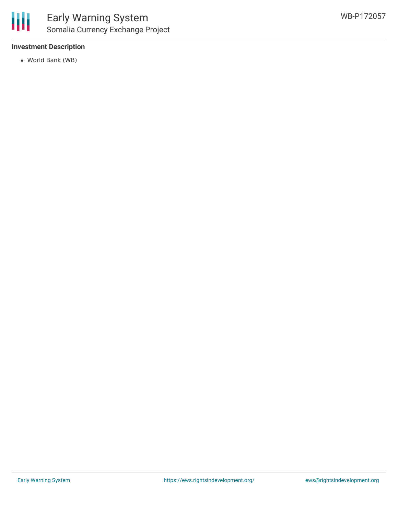

# **Investment Description**

World Bank (WB)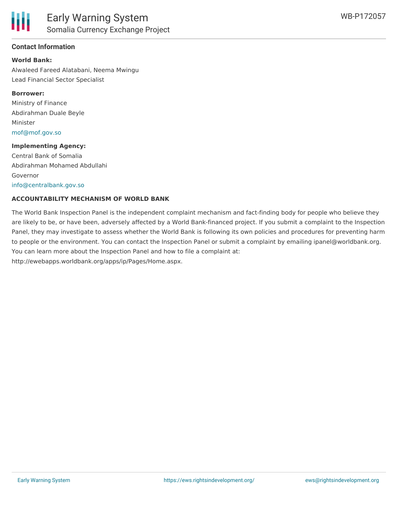

### **Contact Information**

#### **World Bank:**

Alwaleed Fareed Alatabani, Neema Mwingu Lead Financial Sector Specialist

#### **Borrower:**

Ministry of Finance Abdirahman Duale Beyle Minister [mof@mof.gov.so](mailto:mof@mof.gov.so)

#### **Implementing Agency:**

Central Bank of Somalia Abdirahman Mohamed Abdullahi Governor [info@centralbank.gov.so](mailto:info@centralbank.gov.so)

#### **ACCOUNTABILITY MECHANISM OF WORLD BANK**

The World Bank Inspection Panel is the independent complaint mechanism and fact-finding body for people who believe they are likely to be, or have been, adversely affected by a World Bank-financed project. If you submit a complaint to the Inspection Panel, they may investigate to assess whether the World Bank is following its own policies and procedures for preventing harm to people or the environment. You can contact the Inspection Panel or submit a complaint by emailing ipanel@worldbank.org. You can learn more about the Inspection Panel and how to file a complaint at: http://ewebapps.worldbank.org/apps/ip/Pages/Home.aspx.